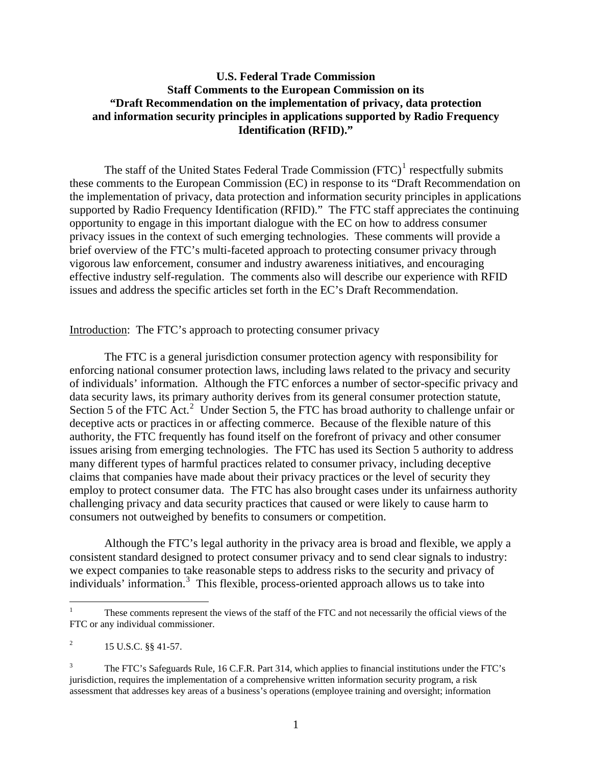# **U.S. Federal Trade Commission Staff Comments to the European Commission on its "Draft Recommendation on the implementation of privacy, data protection and information security principles in applications supported by Radio Frequency Identification (RFID)."**

The staff of the United States Federal Trade Commission  $(FTC)^1$  $(FTC)^1$  respectfully submits these comments to the European Commission (EC) in response to its "Draft Recommendation on the implementation of privacy, data protection and information security principles in applications supported by Radio Frequency Identification (RFID)." The FTC staff appreciates the continuing opportunity to engage in this important dialogue with the EC on how to address consumer privacy issues in the context of such emerging technologies. These comments will provide a brief overview of the FTC's multi-faceted approach to protecting consumer privacy through vigorous law enforcement, consumer and industry awareness initiatives, and encouraging effective industry self-regulation. The comments also will describe our experience with RFID issues and address the specific articles set forth in the EC's Draft Recommendation.

Introduction: The FTC's approach to protecting consumer privacy

The FTC is a general jurisdiction consumer protection agency with responsibility for enforcing national consumer protection laws, including laws related to the privacy and security of individuals' information. Although the FTC enforces a number of sector-specific privacy and data security laws, its primary authority derives from its general consumer protection statute, Section 5 of the FTC Act.<sup>[2](#page-0-1)</sup> Under Section 5, the FTC has broad authority to challenge unfair or deceptive acts or practices in or affecting commerce. Because of the flexible nature of this authority, the FTC frequently has found itself on the forefront of privacy and other consumer issues arising from emerging technologies. The FTC has used its Section 5 authority to address many different types of harmful practices related to consumer privacy, including deceptive claims that companies have made about their privacy practices or the level of security they employ to protect consumer data. The FTC has also brought cases under its unfairness authority challenging privacy and data security practices that caused or were likely to cause harm to consumers not outweighed by benefits to consumers or competition.

 Although the FTC's legal authority in the privacy area is broad and flexible, we apply a consistent standard designed to protect consumer privacy and to send clear signals to industry: we expect companies to take reasonable steps to address risks to the security and privacy of individuals' information.[3](#page-0-2) This flexible, process-oriented approach allows us to take into

 $\overline{a}$ 

<span id="page-0-0"></span><sup>1</sup> These comments represent the views of the staff of the FTC and not necessarily the official views of the FTC or any individual commissioner.

<span id="page-0-1"></span><sup>2</sup> 15 U.S.C. §§ 41-57.

<span id="page-0-2"></span><sup>3</sup> The FTC's Safeguards Rule, 16 C.F.R. Part 314, which applies to financial institutions under the FTC's jurisdiction, requires the implementation of a comprehensive written information security program, a risk assessment that addresses key areas of a business's operations (employee training and oversight; information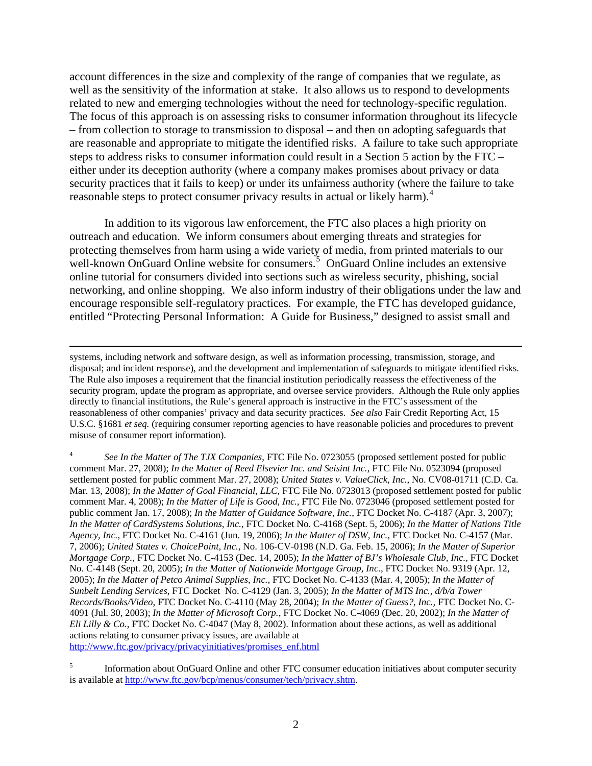account differences in the size and complexity of the range of companies that we regulate, as well as the sensitivity of the information at stake. It also allows us to respond to developments related to new and emerging technologies without the need for technology-specific regulation. The focus of this approach is on assessing risks to consumer information throughout its lifecycle – from collection to storage to transmission to disposal – and then on adopting safeguards that are reasonable and appropriate to mitigate the identified risks. A failure to take such appropriate steps to address risks to consumer information could result in a Section 5 action by the FTC – either under its deception authority (where a company makes promises about privacy or data security practices that it fails to keep) or under its unfairness authority (where the failure to take reasonable steps to protect consumer privacy results in actual or likely harm).<sup>[4](#page-1-0)</sup>

In addition to its vigorous law enforcement, the FTC also places a high priority on outreach and education. We inform consumers about emerging threats and strategies for protecting themselves from harm using a wide variety of media, from printed materials to our well-known OnGuard Online website for consumers.<sup>[5](#page-1-1)</sup> OnGuard Online includes an extensive online tutorial for consumers divided into sections such as wireless security, phishing, social networking, and online shopping. We also inform industry of their obligations under the law and encourage responsible self-regulatory practices. For example, the FTC has developed guidance, entitled "Protecting Personal Information: A Guide for Business," designed to assist small and

 systems, including network and software design, as well as information processing, transmission, storage, and disposal; and incident response), and the development and implementation of safeguards to mitigate identified risks. The Rule also imposes a requirement that the financial institution periodically reassess the effectiveness of the security program, update the program as appropriate, and oversee service providers. Although the Rule only applies directly to financial institutions, the Rule's general approach is instructive in the FTC's assessment of the reasonableness of other companies' privacy and data security practices. *See also* Fair Credit Reporting Act, 15 U.S.C. §1681 *et seq.* (requiring consumer reporting agencies to have reasonable policies and procedures to prevent misuse of consumer report information).

<span id="page-1-0"></span>4 *See In the Matter of The TJX Companies*, FTC File No. 0723055 (proposed settlement posted for public comment Mar. 27, 2008); *In the Matter of Reed Elsevier Inc. and Seisint Inc.*, FTC File No. 0523094 (proposed settlement posted for public comment Mar. 27, 2008); *United States v. ValueClick, Inc.*, No. CV08-01711 (C.D. Ca. Mar. 13, 2008); *In the Matter of Goal Financial, LLC*, FTC File No. 0723013 (proposed settlement posted for public comment Mar. 4, 2008); *In the Matter of Life is Good, Inc.*, FTC File No. 0723046 (proposed settlement posted for public comment Jan. 17, 2008); *In the Matter of Guidance Software, Inc.*, FTC Docket No. C-4187 (Apr. 3, 2007); *In the Matter of CardSystems Solutions, Inc.*, FTC Docket No. C-4168 (Sept. 5, 2006); *In the Matter of Nations Title Agency, Inc.*, FTC Docket No. C-4161 (Jun. 19, 2006); *In the Matter of DSW, Inc.*, FTC Docket No. C-4157 (Mar. 7, 2006); *United States v. ChoicePoint, Inc.,* No. 106-CV-0198 (N.D. Ga. Feb. 15, 2006); *In the Matter of Superior Mortgage Corp.*, FTC Docket No. C-4153 (Dec. 14, 2005); *In the Matter of BJ's Wholesale Club, Inc.*, FTC Docket No. C-4148 (Sept. 20, 2005); *In the Matter of Nationwide Mortgage Group, Inc.*, FTC Docket No. 9319 (Apr. 12, 2005); *In the Matter of Petco Animal Supplies, Inc.*, FTC Docket No. C-4133 (Mar. 4, 2005); *In the Matter of Sunbelt Lending Services*, FTC Docket No. C-4129 (Jan. 3, 2005); *In the Matter of MTS Inc., d/b/a Tower Records/Books/Video*, FTC Docket No. C-4110 (May 28, 2004); *In the Matter of Guess?, Inc.,* FTC Docket No. C-4091 (Jul. 30, 2003); *In the Matter of Microsoft Corp.*, FTC Docket No. C-4069 (Dec. 20, 2002); *In the Matter of Eli Lilly & Co.*, FTC Docket No. C-4047 (May 8, 2002). Information about these actions, as well as additional actions relating to consumer privacy issues, are available at [http://www.ftc.gov/privacy/privacyinitiatives/promises\\_enf.html](http://www.ftc.gov/privacy/privacyinitiatives/promises_enf.html)

<span id="page-1-1"></span>5 Information about OnGuard Online and other FTC consumer education initiatives about computer security is available at<http://www.ftc.gov/bcp/menus/consumer/tech/privacy.shtm>.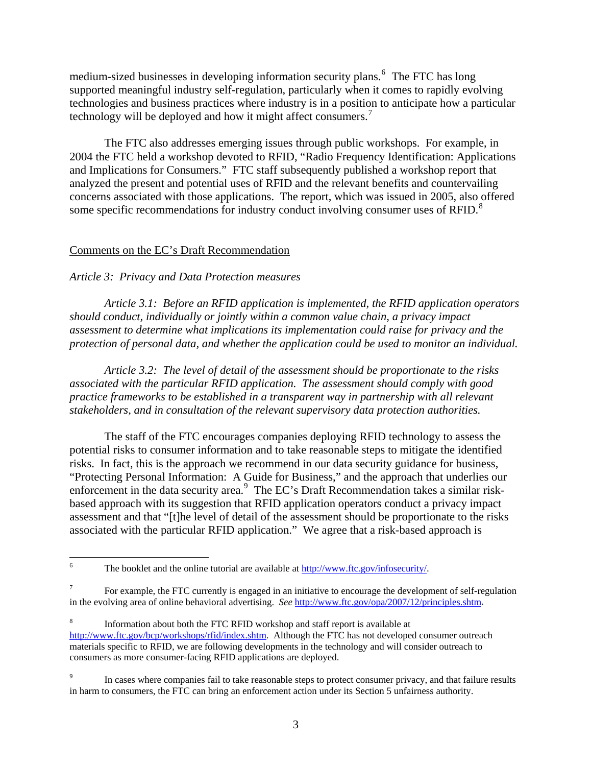medium-sized businesses in developing information security plans.<sup>[6](#page-2-0)</sup> The FTC has long supported meaningful industry self-regulation, particularly when it comes to rapidly evolving technologies and business practices where industry is in a position to anticipate how a particular technology will be deployed and how it might affect consumers.<sup>[7](#page-2-1)</sup>

The FTC also addresses emerging issues through public workshops. For example, in 2004 the FTC held a workshop devoted to RFID, "Radio Frequency Identification: Applications and Implications for Consumers." FTC staff subsequently published a workshop report that analyzed the present and potential uses of RFID and the relevant benefits and countervailing concerns associated with those applications. The report, which was issued in 2005, also offered some specific recommendations for industry conduct involving consumer uses of RFID.<sup>[8](#page-2-2)</sup>

# Comments on the EC's Draft Recommendation

## *Article 3: Privacy and Data Protection measures*

 *Article 3.1: Before an RFID application is implemented, the RFID application operators should conduct, individually or jointly within a common value chain, a privacy impact assessment to determine what implications its implementation could raise for privacy and the protection of personal data, and whether the application could be used to monitor an individual.* 

 *Article 3.2: The level of detail of the assessment should be proportionate to the risks associated with the particular RFID application. The assessment should comply with good practice frameworks to be established in a transparent way in partnership with all relevant stakeholders, and in consultation of the relevant supervisory data protection authorities.* 

 The staff of the FTC encourages companies deploying RFID technology to assess the potential risks to consumer information and to take reasonable steps to mitigate the identified risks. In fact, this is the approach we recommend in our data security guidance for business, "Protecting Personal Information: A Guide for Business," and the approach that underlies our enforcement in the data security area.<sup>[9](#page-2-3)</sup> The EC's Draft Recommendation takes a similar riskbased approach with its suggestion that RFID application operators conduct a privacy impact assessment and that "[t]he level of detail of the assessment should be proportionate to the risks associated with the particular RFID application." We agree that a risk-based approach is

<span id="page-2-0"></span> $\frac{1}{6}$ The booklet and the online tutorial are available at<http://www.ftc.gov/infosecurity/>.

<span id="page-2-1"></span><sup>7</sup> For example, the FTC currently is engaged in an initiative to encourage the development of self-regulation in the evolving area of online behavioral advertising. *See* [http://www.ftc.gov/opa/2007/12/principles.shtm.](http://www.ftc.gov/opa/2007/12/principles.shtm)

<span id="page-2-2"></span><sup>8</sup> Information about both the FTC RFID workshop and staff report is available at [http://www.ftc.gov/bcp/workshops/rfid/index.shtm.](http://www.ftc.gov/bcp/workshops/rfid/index.shtm) Although the FTC has not developed consumer outreach materials specific to RFID, we are following developments in the technology and will consider outreach to consumers as more consumer-facing RFID applications are deployed.

<span id="page-2-3"></span><sup>9</sup> In cases where companies fail to take reasonable steps to protect consumer privacy, and that failure results in harm to consumers, the FTC can bring an enforcement action under its Section 5 unfairness authority.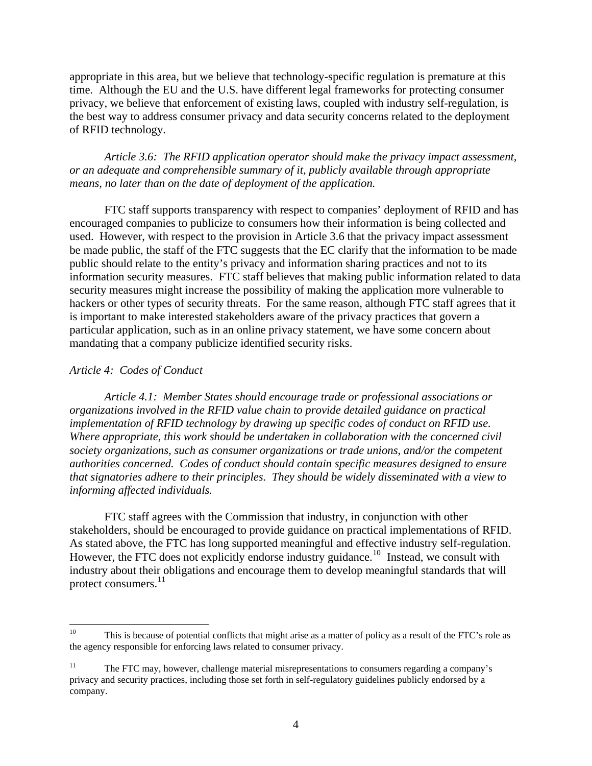appropriate in this area, but we believe that technology-specific regulation is premature at this time. Although the EU and the U.S. have different legal frameworks for protecting consumer privacy, we believe that enforcement of existing laws, coupled with industry self-regulation, is the best way to address consumer privacy and data security concerns related to the deployment of RFID technology.

*Article 3.6: The RFID application operator should make the privacy impact assessment, or an adequate and comprehensible summary of it, publicly available through appropriate means, no later than on the date of deployment of the application.* 

FTC staff supports transparency with respect to companies' deployment of RFID and has encouraged companies to publicize to consumers how their information is being collected and used. However, with respect to the provision in Article 3.6 that the privacy impact assessment be made public, the staff of the FTC suggests that the EC clarify that the information to be made public should relate to the entity's privacy and information sharing practices and not to its information security measures. FTC staff believes that making public information related to data security measures might increase the possibility of making the application more vulnerable to hackers or other types of security threats. For the same reason, although FTC staff agrees that it is important to make interested stakeholders aware of the privacy practices that govern a particular application, such as in an online privacy statement, we have some concern about mandating that a company publicize identified security risks.

### *Article 4: Codes of Conduct*

 *Article 4.1: Member States should encourage trade or professional associations or organizations involved in the RFID value chain to provide detailed guidance on practical implementation of RFID technology by drawing up specific codes of conduct on RFID use. Where appropriate, this work should be undertaken in collaboration with the concerned civil society organizations, such as consumer organizations or trade unions, and/or the competent authorities concerned. Codes of conduct should contain specific measures designed to ensure that signatories adhere to their principles. They should be widely disseminated with a view to informing affected individuals.*

 FTC staff agrees with the Commission that industry, in conjunction with other stakeholders, should be encouraged to provide guidance on practical implementations of RFID. As stated above, the FTC has long supported meaningful and effective industry self-regulation. However, the FTC does not explicitly endorse industry guidance.<sup>[10](#page-3-0)</sup> Instead, we consult with industry about their obligations and encourage them to develop meaningful standards that will protect consumers.<sup>[11](#page-3-1)</sup>

<span id="page-3-0"></span> $10\,$ This is because of potential conflicts that might arise as a matter of policy as a result of the FTC's role as the agency responsible for enforcing laws related to consumer privacy.

<span id="page-3-1"></span> $11$  The FTC may, however, challenge material misrepresentations to consumers regarding a company's privacy and security practices, including those set forth in self-regulatory guidelines publicly endorsed by a company.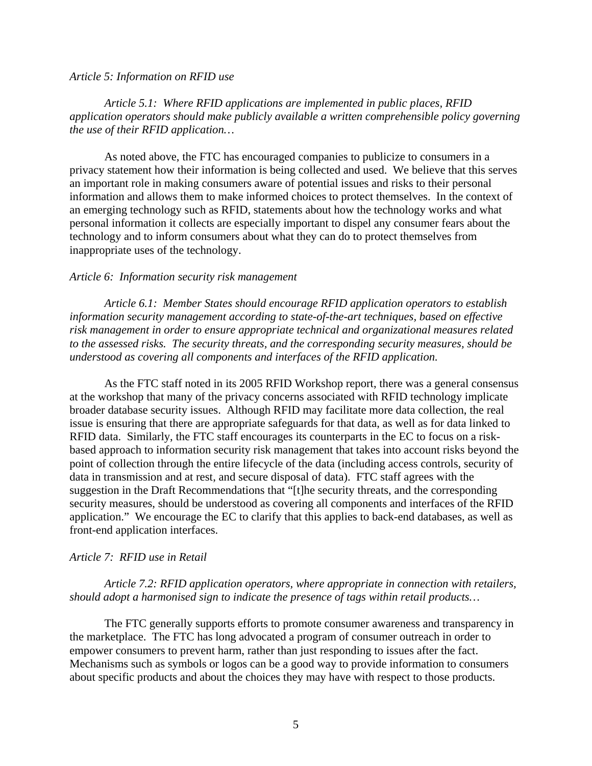#### *Article 5: Information on RFID use*

## *Article 5.1: Where RFID applications are implemented in public places, RFID application operators should make publicly available a written comprehensible policy governing the use of their RFID application…*

 As noted above, the FTC has encouraged companies to publicize to consumers in a privacy statement how their information is being collected and used. We believe that this serves an important role in making consumers aware of potential issues and risks to their personal information and allows them to make informed choices to protect themselves. In the context of an emerging technology such as RFID, statements about how the technology works and what personal information it collects are especially important to dispel any consumer fears about the technology and to inform consumers about what they can do to protect themselves from inappropriate uses of the technology.

### *Article 6: Information security risk management*

 *Article 6.1: Member States should encourage RFID application operators to establish information security management according to state-of-the-art techniques, based on effective risk management in order to ensure appropriate technical and organizational measures related to the assessed risks. The security threats, and the corresponding security measures, should be understood as covering all components and interfaces of the RFID application.*

 As the FTC staff noted in its 2005 RFID Workshop report, there was a general consensus at the workshop that many of the privacy concerns associated with RFID technology implicate broader database security issues. Although RFID may facilitate more data collection, the real issue is ensuring that there are appropriate safeguards for that data, as well as for data linked to RFID data. Similarly, the FTC staff encourages its counterparts in the EC to focus on a riskbased approach to information security risk management that takes into account risks beyond the point of collection through the entire lifecycle of the data (including access controls, security of data in transmission and at rest, and secure disposal of data). FTC staff agrees with the suggestion in the Draft Recommendations that "[t]he security threats, and the corresponding security measures, should be understood as covering all components and interfaces of the RFID application." We encourage the EC to clarify that this applies to back-end databases, as well as front-end application interfaces.

#### *Article 7: RFID use in Retail*

 *Article 7.2: RFID application operators, where appropriate in connection with retailers, should adopt a harmonised sign to indicate the presence of tags within retail products…* 

 The FTC generally supports efforts to promote consumer awareness and transparency in the marketplace. The FTC has long advocated a program of consumer outreach in order to empower consumers to prevent harm, rather than just responding to issues after the fact. Mechanisms such as symbols or logos can be a good way to provide information to consumers about specific products and about the choices they may have with respect to those products.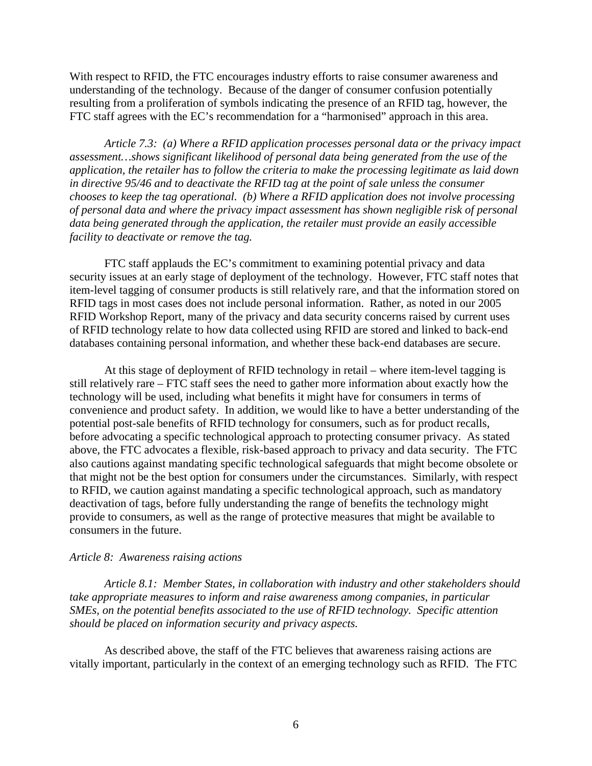With respect to RFID, the FTC encourages industry efforts to raise consumer awareness and understanding of the technology. Because of the danger of consumer confusion potentially resulting from a proliferation of symbols indicating the presence of an RFID tag, however, the FTC staff agrees with the EC's recommendation for a "harmonised" approach in this area.

*Article 7.3: (a) Where a RFID application processes personal data or the privacy impact assessment…shows significant likelihood of personal data being generated from the use of the application, the retailer has to follow the criteria to make the processing legitimate as laid down in directive 95/46 and to deactivate the RFID tag at the point of sale unless the consumer chooses to keep the tag operational. (b) Where a RFID application does not involve processing of personal data and where the privacy impact assessment has shown negligible risk of personal data being generated through the application, the retailer must provide an easily accessible facility to deactivate or remove the tag.* 

FTC staff applauds the EC's commitment to examining potential privacy and data security issues at an early stage of deployment of the technology. However, FTC staff notes that item-level tagging of consumer products is still relatively rare, and that the information stored on RFID tags in most cases does not include personal information. Rather, as noted in our 2005 RFID Workshop Report, many of the privacy and data security concerns raised by current uses of RFID technology relate to how data collected using RFID are stored and linked to back-end databases containing personal information, and whether these back-end databases are secure.

At this stage of deployment of RFID technology in retail – where item-level tagging is still relatively rare – FTC staff sees the need to gather more information about exactly how the technology will be used, including what benefits it might have for consumers in terms of convenience and product safety. In addition, we would like to have a better understanding of the potential post-sale benefits of RFID technology for consumers, such as for product recalls, before advocating a specific technological approach to protecting consumer privacy. As stated above, the FTC advocates a flexible, risk-based approach to privacy and data security. The FTC also cautions against mandating specific technological safeguards that might become obsolete or that might not be the best option for consumers under the circumstances. Similarly, with respect to RFID, we caution against mandating a specific technological approach, such as mandatory deactivation of tags, before fully understanding the range of benefits the technology might provide to consumers, as well as the range of protective measures that might be available to consumers in the future.

### *Article 8: Awareness raising actions*

 *Article 8.1: Member States, in collaboration with industry and other stakeholders should take appropriate measures to inform and raise awareness among companies, in particular SMEs, on the potential benefits associated to the use of RFID technology. Specific attention should be placed on information security and privacy aspects.* 

 As described above, the staff of the FTC believes that awareness raising actions are vitally important, particularly in the context of an emerging technology such as RFID. The FTC